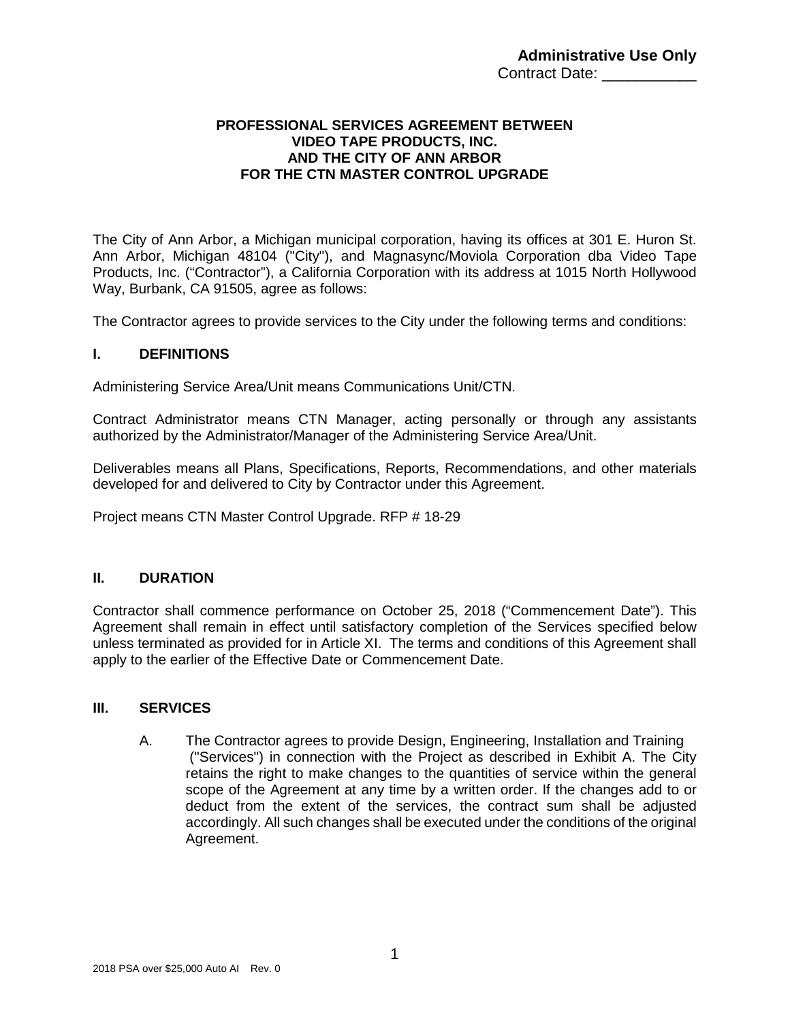### **PROFESSIONAL SERVICES AGREEMENT BETWEEN VIDEO TAPE PRODUCTS, INC. AND THE CITY OF ANN ARBOR FOR THE CTN MASTER CONTROL UPGRADE**

The City of Ann Arbor, a Michigan municipal corporation, having its offices at 301 E. Huron St. Ann Arbor, Michigan 48104 ("City"), and Magnasync/Moviola Corporation dba Video Tape Products, Inc. ("Contractor"), a California Corporation with its address at 1015 North Hollywood Way, Burbank, CA 91505, agree as follows:

The Contractor agrees to provide services to the City under the following terms and conditions:

#### **I. DEFINITIONS**

Administering Service Area/Unit means Communications Unit/CTN.

Contract Administrator means CTN Manager, acting personally or through any assistants authorized by the Administrator/Manager of the Administering Service Area/Unit.

Deliverables means all Plans, Specifications, Reports, Recommendations, and other materials developed for and delivered to City by Contractor under this Agreement.

Project means CTN Master Control Upgrade. RFP # 18-29

### **II. DURATION**

Contractor shall commence performance on October 25, 2018 ("Commencement Date"). This Agreement shall remain in effect until satisfactory completion of the Services specified below unless terminated as provided for in Article XI. The terms and conditions of this Agreement shall apply to the earlier of the Effective Date or Commencement Date.

#### **III. SERVICES**

A. The Contractor agrees to provide Design, Engineering, Installation and Training ("Services") in connection with the Project as described in Exhibit A. The City retains the right to make changes to the quantities of service within the general scope of the Agreement at any time by a written order. If the changes add to or deduct from the extent of the services, the contract sum shall be adjusted accordingly. All such changes shall be executed under the conditions of the original Agreement.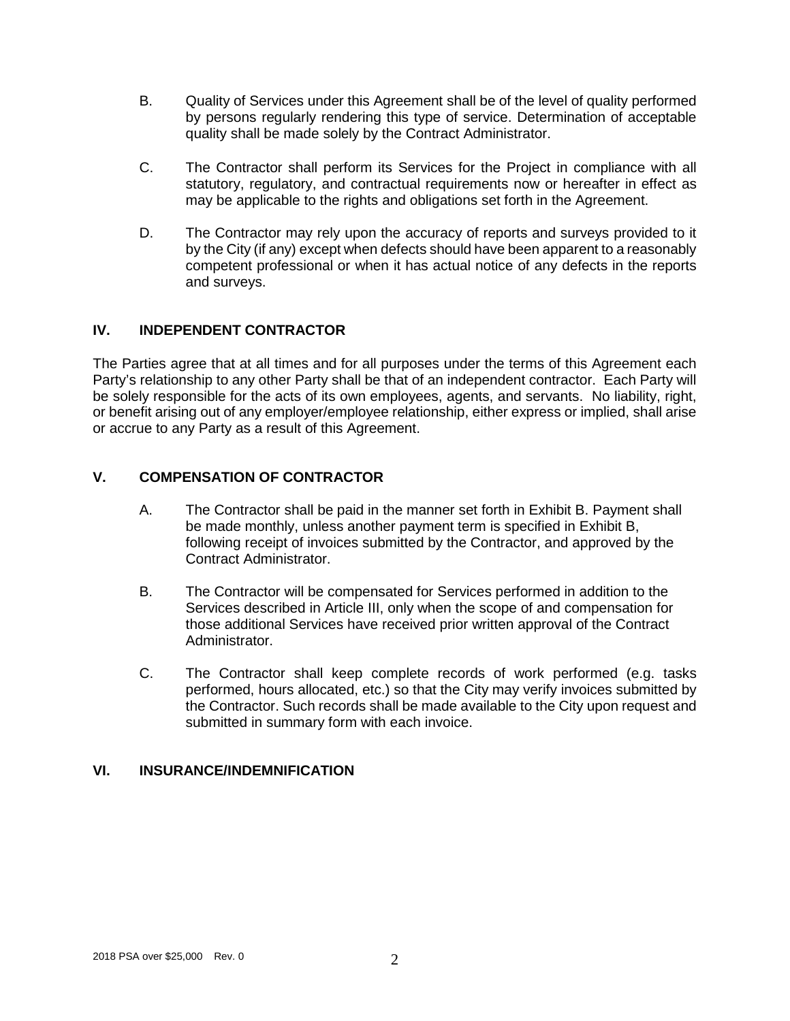- B. Quality of Services under this Agreement shall be of the level of quality performed by persons regularly rendering this type of service. Determination of acceptable quality shall be made solely by the Contract Administrator.
- C. The Contractor shall perform its Services for the Project in compliance with all statutory, regulatory, and contractual requirements now or hereafter in effect as may be applicable to the rights and obligations set forth in the Agreement.
- D. The Contractor may rely upon the accuracy of reports and surveys provided to it by the City (if any) except when defects should have been apparent to a reasonably competent professional or when it has actual notice of any defects in the reports and surveys.

### **IV. INDEPENDENT CONTRACTOR**

The Parties agree that at all times and for all purposes under the terms of this Agreement each Party's relationship to any other Party shall be that of an independent contractor. Each Party will be solely responsible for the acts of its own employees, agents, and servants. No liability, right, or benefit arising out of any employer/employee relationship, either express or implied, shall arise or accrue to any Party as a result of this Agreement.

### **V. COMPENSATION OF CONTRACTOR**

- A. The Contractor shall be paid in the manner set forth in Exhibit B. Payment shall be made monthly, unless another payment term is specified in Exhibit B, following receipt of invoices submitted by the Contractor, and approved by the Contract Administrator.
- B. The Contractor will be compensated for Services performed in addition to the Services described in Article III, only when the scope of and compensation for those additional Services have received prior written approval of the Contract Administrator.
- C. The Contractor shall keep complete records of work performed (e.g. tasks performed, hours allocated, etc.) so that the City may verify invoices submitted by the Contractor. Such records shall be made available to the City upon request and submitted in summary form with each invoice.

#### **VI. INSURANCE/INDEMNIFICATION**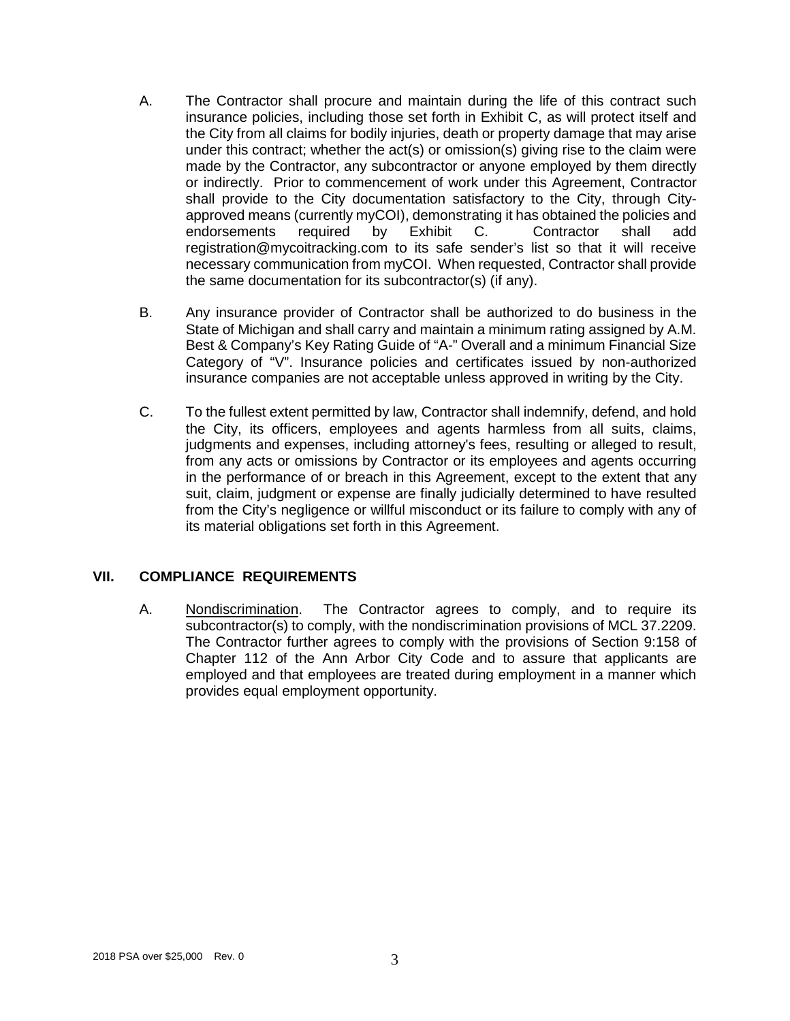- A. The Contractor shall procure and maintain during the life of this contract such insurance policies, including those set forth in Exhibit C, as will protect itself and the City from all claims for bodily injuries, death or property damage that may arise under this contract; whether the act(s) or omission(s) giving rise to the claim were made by the Contractor, any subcontractor or anyone employed by them directly or indirectly. Prior to commencement of work under this Agreement, Contractor shall provide to the City documentation satisfactory to the City, through Cityapproved means (currently myCOI), demonstrating it has obtained the policies and endorsements required by Exhibit C. Contractor shall add registration@mycoitracking.com to its safe sender's list so that it will receive necessary communication from myCOI. When requested, Contractor shall provide the same documentation for its subcontractor(s) (if any).
- B. Any insurance provider of Contractor shall be authorized to do business in the State of Michigan and shall carry and maintain a minimum rating assigned by A.M. Best & Company's Key Rating Guide of "A-" Overall and a minimum Financial Size Category of "V". Insurance policies and certificates issued by non-authorized insurance companies are not acceptable unless approved in writing by the City.
- C. To the fullest extent permitted by law, Contractor shall indemnify, defend, and hold the City, its officers, employees and agents harmless from all suits, claims, judgments and expenses, including attorney's fees, resulting or alleged to result, from any acts or omissions by Contractor or its employees and agents occurring in the performance of or breach in this Agreement, except to the extent that any suit, claim, judgment or expense are finally judicially determined to have resulted from the City's negligence or willful misconduct or its failure to comply with any of its material obligations set forth in this Agreement.

### **VII. COMPLIANCE REQUIREMENTS**

A. Nondiscrimination. The Contractor agrees to comply, and to require its subcontractor(s) to comply, with the nondiscrimination provisions of MCL 37.2209. The Contractor further agrees to comply with the provisions of Section 9:158 of Chapter 112 of the Ann Arbor City Code and to assure that applicants are employed and that employees are treated during employment in a manner which provides equal employment opportunity.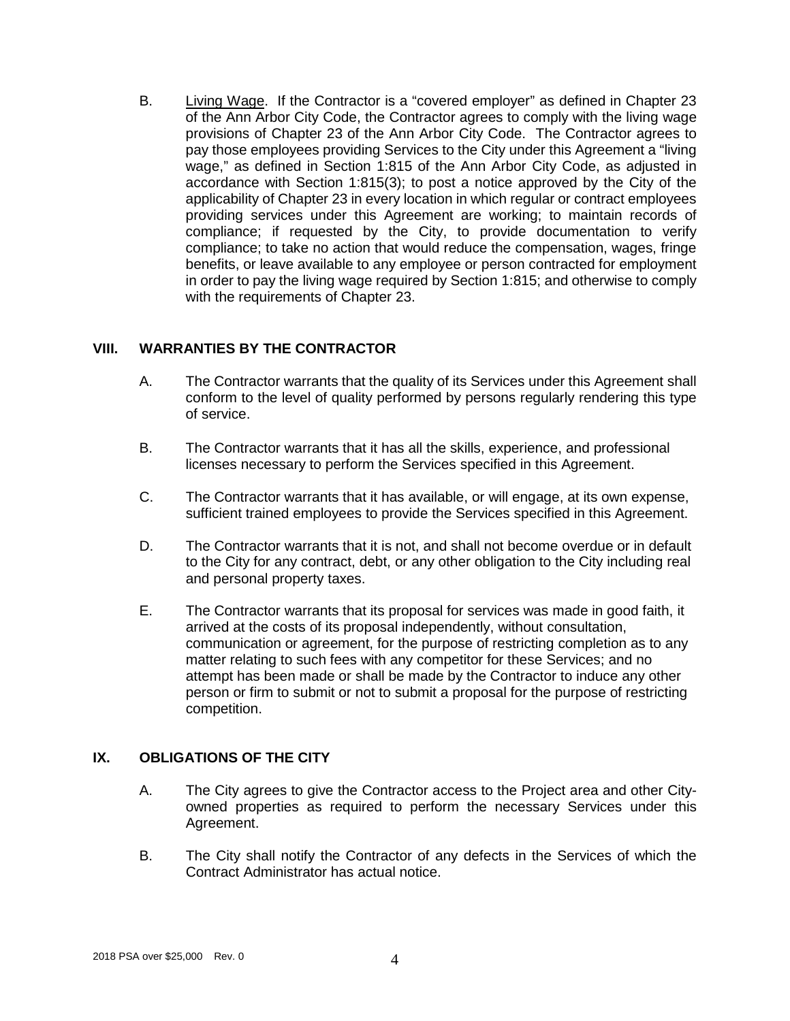B. Living Wage. If the Contractor is a "covered employer" as defined in Chapter 23 of the Ann Arbor City Code, the Contractor agrees to comply with the living wage provisions of Chapter 23 of the Ann Arbor City Code. The Contractor agrees to pay those employees providing Services to the City under this Agreement a "living wage," as defined in Section 1:815 of the Ann Arbor City Code, as adjusted in accordance with Section 1:815(3); to post a notice approved by the City of the applicability of Chapter 23 in every location in which regular or contract employees providing services under this Agreement are working; to maintain records of compliance; if requested by the City, to provide documentation to verify compliance; to take no action that would reduce the compensation, wages, fringe benefits, or leave available to any employee or person contracted for employment in order to pay the living wage required by Section 1:815; and otherwise to comply with the requirements of Chapter 23.

#### **VIII. WARRANTIES BY THE CONTRACTOR**

- A. The Contractor warrants that the quality of its Services under this Agreement shall conform to the level of quality performed by persons regularly rendering this type of service.
- B. The Contractor warrants that it has all the skills, experience, and professional licenses necessary to perform the Services specified in this Agreement.
- C. The Contractor warrants that it has available, or will engage, at its own expense, sufficient trained employees to provide the Services specified in this Agreement.
- D. The Contractor warrants that it is not, and shall not become overdue or in default to the City for any contract, debt, or any other obligation to the City including real and personal property taxes.
- E. The Contractor warrants that its proposal for services was made in good faith, it arrived at the costs of its proposal independently, without consultation, communication or agreement, for the purpose of restricting completion as to any matter relating to such fees with any competitor for these Services; and no attempt has been made or shall be made by the Contractor to induce any other person or firm to submit or not to submit a proposal for the purpose of restricting competition.

### **IX. OBLIGATIONS OF THE CITY**

- A. The City agrees to give the Contractor access to the Project area and other Cityowned properties as required to perform the necessary Services under this Agreement.
- B. The City shall notify the Contractor of any defects in the Services of which the Contract Administrator has actual notice.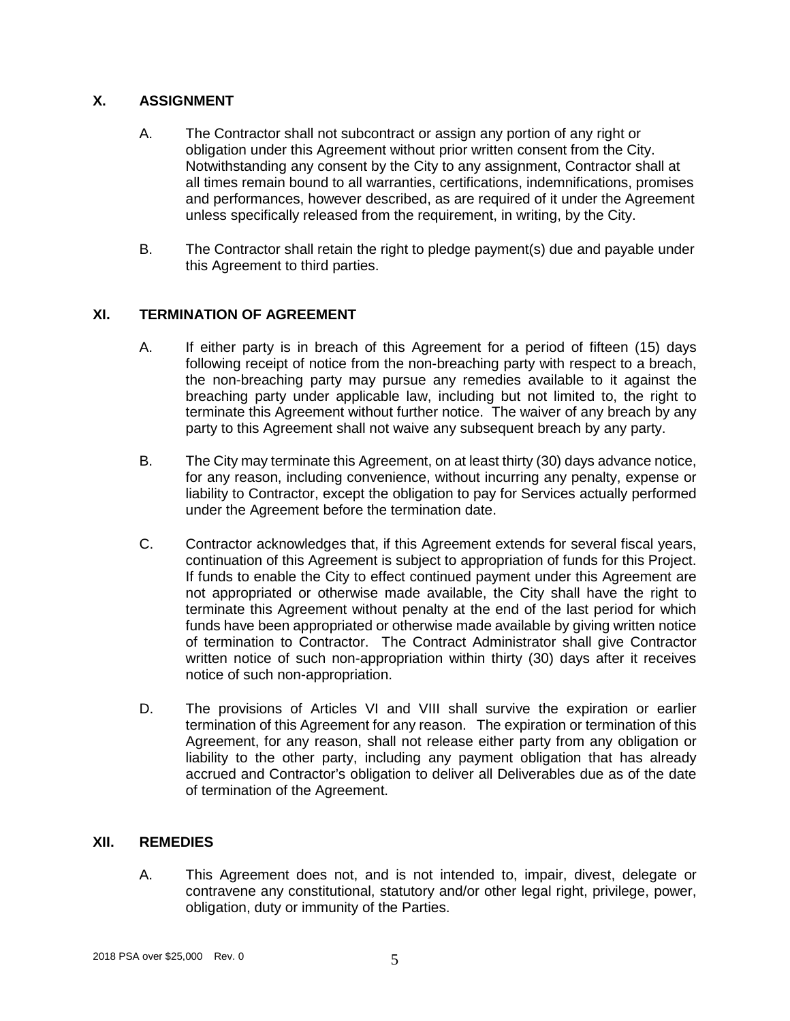# **X. ASSIGNMENT**

- A. The Contractor shall not subcontract or assign any portion of any right or obligation under this Agreement without prior written consent from the City. Notwithstanding any consent by the City to any assignment, Contractor shall at all times remain bound to all warranties, certifications, indemnifications, promises and performances, however described, as are required of it under the Agreement unless specifically released from the requirement, in writing, by the City.
- B. The Contractor shall retain the right to pledge payment(s) due and payable under this Agreement to third parties.

# **XI. TERMINATION OF AGREEMENT**

- A. If either party is in breach of this Agreement for a period of fifteen (15) days following receipt of notice from the non-breaching party with respect to a breach, the non-breaching party may pursue any remedies available to it against the breaching party under applicable law, including but not limited to, the right to terminate this Agreement without further notice. The waiver of any breach by any party to this Agreement shall not waive any subsequent breach by any party.
- B. The City may terminate this Agreement, on at least thirty (30) days advance notice, for any reason, including convenience, without incurring any penalty, expense or liability to Contractor, except the obligation to pay for Services actually performed under the Agreement before the termination date.
- C. Contractor acknowledges that, if this Agreement extends for several fiscal years, continuation of this Agreement is subject to appropriation of funds for this Project. If funds to enable the City to effect continued payment under this Agreement are not appropriated or otherwise made available, the City shall have the right to terminate this Agreement without penalty at the end of the last period for which funds have been appropriated or otherwise made available by giving written notice of termination to Contractor. The Contract Administrator shall give Contractor written notice of such non-appropriation within thirty (30) days after it receives notice of such non-appropriation.
- D. The provisions of Articles VI and VIII shall survive the expiration or earlier termination of this Agreement for any reason. The expiration or termination of this Agreement, for any reason, shall not release either party from any obligation or liability to the other party, including any payment obligation that has already accrued and Contractor's obligation to deliver all Deliverables due as of the date of termination of the Agreement.

### **XII. REMEDIES**

A. This Agreement does not, and is not intended to, impair, divest, delegate or contravene any constitutional, statutory and/or other legal right, privilege, power, obligation, duty or immunity of the Parties.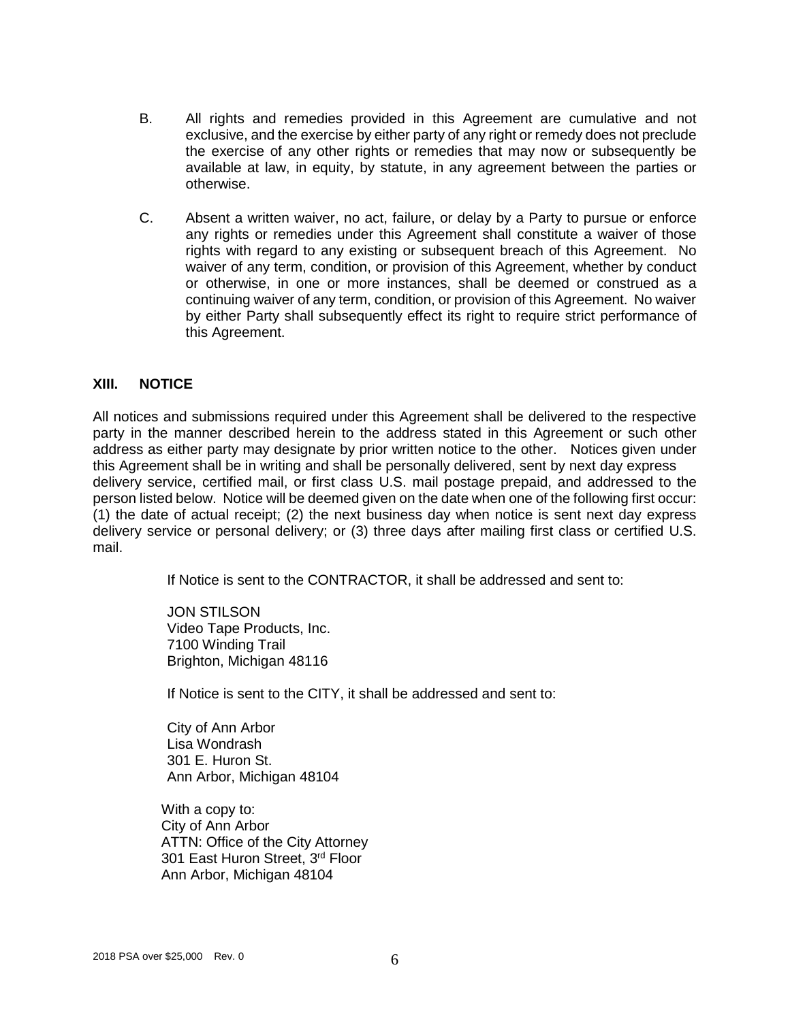- B. All rights and remedies provided in this Agreement are cumulative and not exclusive, and the exercise by either party of any right or remedy does not preclude the exercise of any other rights or remedies that may now or subsequently be available at law, in equity, by statute, in any agreement between the parties or otherwise.
- C. Absent a written waiver, no act, failure, or delay by a Party to pursue or enforce any rights or remedies under this Agreement shall constitute a waiver of those rights with regard to any existing or subsequent breach of this Agreement. No waiver of any term, condition, or provision of this Agreement, whether by conduct or otherwise, in one or more instances, shall be deemed or construed as a continuing waiver of any term, condition, or provision of this Agreement. No waiver by either Party shall subsequently effect its right to require strict performance of this Agreement.

#### **XIII. NOTICE**

All notices and submissions required under this Agreement shall be delivered to the respective party in the manner described herein to the address stated in this Agreement or such other address as either party may designate by prior written notice to the other. Notices given under this Agreement shall be in writing and shall be personally delivered, sent by next day express delivery service, certified mail, or first class U.S. mail postage prepaid, and addressed to the person listed below. Notice will be deemed given on the date when one of the following first occur: (1) the date of actual receipt; (2) the next business day when notice is sent next day express delivery service or personal delivery; or (3) three days after mailing first class or certified U.S. mail.

If Notice is sent to the CONTRACTOR, it shall be addressed and sent to:

JON STILSON Video Tape Products, Inc. 7100 Winding Trail Brighton, Michigan 48116

If Notice is sent to the CITY, it shall be addressed and sent to:

City of Ann Arbor Lisa Wondrash 301 E. Huron St. Ann Arbor, Michigan 48104

With a copy to: City of Ann Arbor ATTN: Office of the City Attorney 301 East Huron Street, 3rd Floor Ann Arbor, Michigan 48104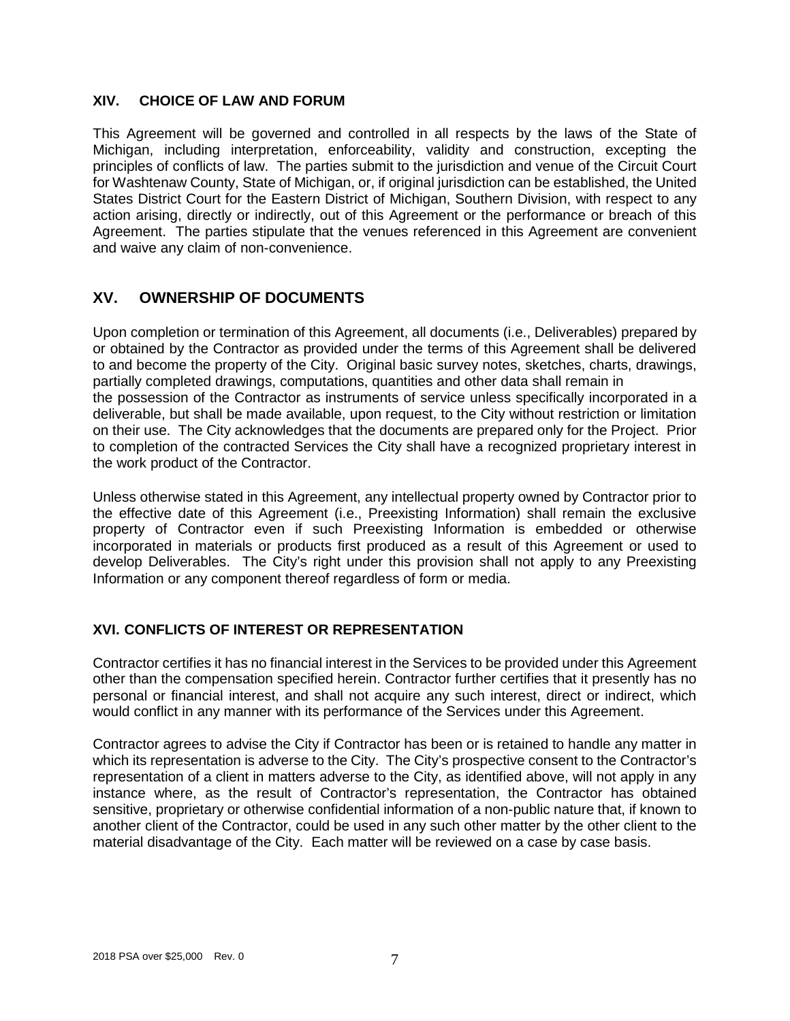#### **XIV. CHOICE OF LAW AND FORUM**

This Agreement will be governed and controlled in all respects by the laws of the State of Michigan, including interpretation, enforceability, validity and construction, excepting the principles of conflicts of law. The parties submit to the jurisdiction and venue of the Circuit Court for Washtenaw County, State of Michigan, or, if original jurisdiction can be established, the United States District Court for the Eastern District of Michigan, Southern Division, with respect to any action arising, directly or indirectly, out of this Agreement or the performance or breach of this Agreement. The parties stipulate that the venues referenced in this Agreement are convenient and waive any claim of non-convenience.

# **XV. OWNERSHIP OF DOCUMENTS**

Upon completion or termination of this Agreement, all documents (i.e., Deliverables) prepared by or obtained by the Contractor as provided under the terms of this Agreement shall be delivered to and become the property of the City. Original basic survey notes, sketches, charts, drawings, partially completed drawings, computations, quantities and other data shall remain in the possession of the Contractor as instruments of service unless specifically incorporated in a deliverable, but shall be made available, upon request, to the City without restriction or limitation on their use. The City acknowledges that the documents are prepared only for the Project. Prior to completion of the contracted Services the City shall have a recognized proprietary interest in the work product of the Contractor.

Unless otherwise stated in this Agreement, any intellectual property owned by Contractor prior to the effective date of this Agreement (i.e., Preexisting Information) shall remain the exclusive property of Contractor even if such Preexisting Information is embedded or otherwise incorporated in materials or products first produced as a result of this Agreement or used to develop Deliverables. The City's right under this provision shall not apply to any Preexisting Information or any component thereof regardless of form or media.

# **XVI. CONFLICTS OF INTEREST OR REPRESENTATION**

Contractor certifies it has no financial interest in the Services to be provided under this Agreement other than the compensation specified herein. Contractor further certifies that it presently has no personal or financial interest, and shall not acquire any such interest, direct or indirect, which would conflict in any manner with its performance of the Services under this Agreement.

Contractor agrees to advise the City if Contractor has been or is retained to handle any matter in which its representation is adverse to the City. The City's prospective consent to the Contractor's representation of a client in matters adverse to the City, as identified above, will not apply in any instance where, as the result of Contractor's representation, the Contractor has obtained sensitive, proprietary or otherwise confidential information of a non-public nature that, if known to another client of the Contractor, could be used in any such other matter by the other client to the material disadvantage of the City. Each matter will be reviewed on a case by case basis.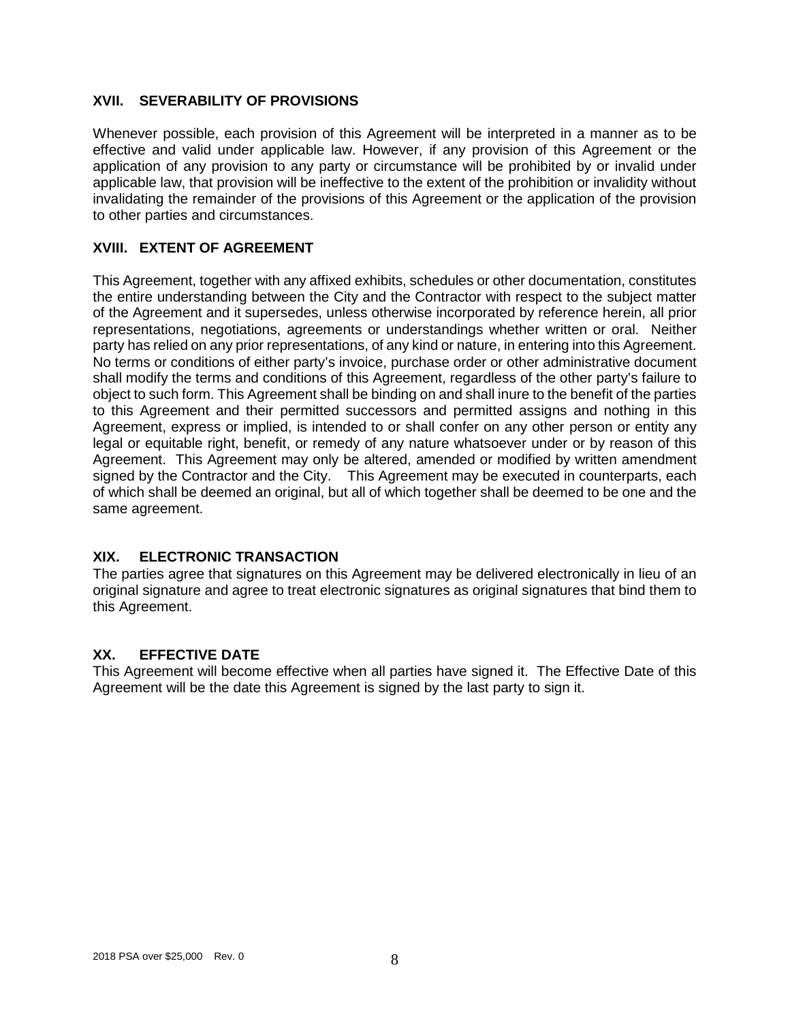#### **XVII. SEVERABILITY OF PROVISIONS**

Whenever possible, each provision of this Agreement will be interpreted in a manner as to be effective and valid under applicable law. However, if any provision of this Agreement or the application of any provision to any party or circumstance will be prohibited by or invalid under applicable law, that provision will be ineffective to the extent of the prohibition or invalidity without invalidating the remainder of the provisions of this Agreement or the application of the provision to other parties and circumstances.

### **XVIII. EXTENT OF AGREEMENT**

This Agreement, together with any affixed exhibits, schedules or other documentation, constitutes the entire understanding between the City and the Contractor with respect to the subject matter of the Agreement and it supersedes, unless otherwise incorporated by reference herein, all prior representations, negotiations, agreements or understandings whether written or oral. Neither party has relied on any prior representations, of any kind or nature, in entering into this Agreement. No terms or conditions of either party's invoice, purchase order or other administrative document shall modify the terms and conditions of this Agreement, regardless of the other party's failure to object to such form. This Agreement shall be binding on and shall inure to the benefit of the parties to this Agreement and their permitted successors and permitted assigns and nothing in this Agreement, express or implied, is intended to or shall confer on any other person or entity any legal or equitable right, benefit, or remedy of any nature whatsoever under or by reason of this Agreement. This Agreement may only be altered, amended or modified by written amendment signed by the Contractor and the City. This Agreement may be executed in counterparts, each of which shall be deemed an original, but all of which together shall be deemed to be one and the same agreement.

## **XIX. ELECTRONIC TRANSACTION**

The parties agree that signatures on this Agreement may be delivered electronically in lieu of an original signature and agree to treat electronic signatures as original signatures that bind them to this Agreement.

### **XX. EFFECTIVE DATE**

This Agreement will become effective when all parties have signed it. The Effective Date of this Agreement will be the date this Agreement is signed by the last party to sign it.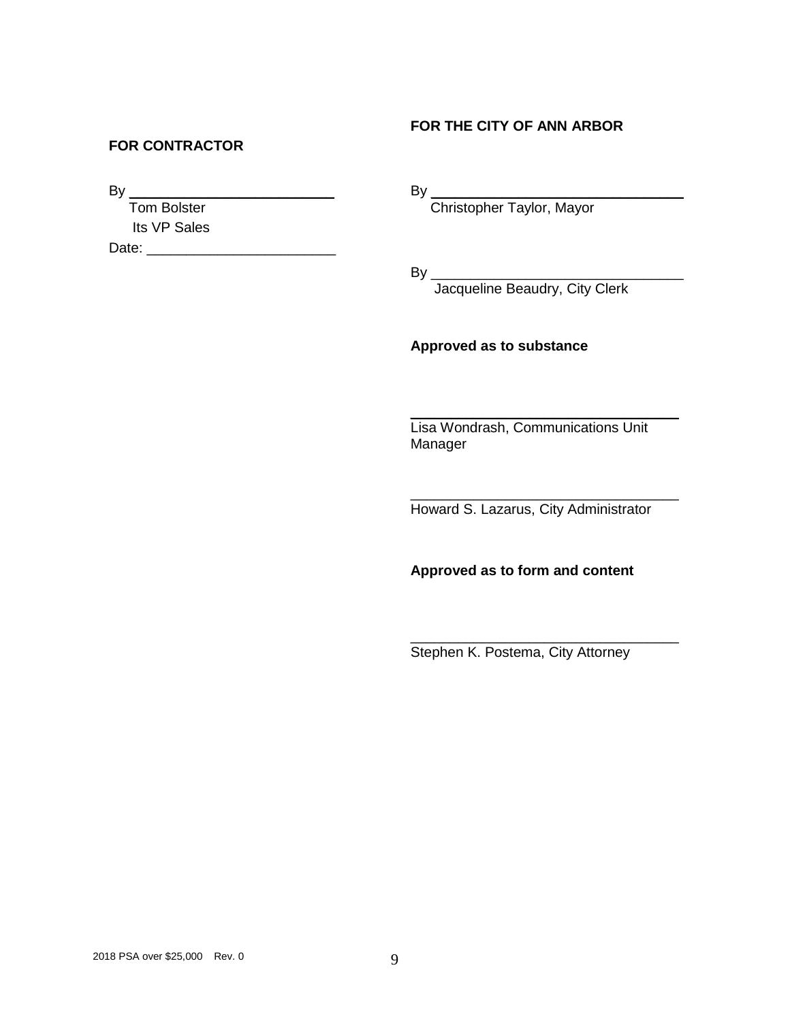## **FOR THE CITY OF ANN ARBOR**

#### **FOR CONTRACTOR**

 $By \_$ 

 Tom Bolster Its VP Sales

Date: \_\_\_\_\_\_\_\_\_\_\_\_\_\_\_\_\_\_\_\_\_\_\_\_

By \_\_\_\_\_\_\_\_\_\_\_\_\_\_\_\_\_\_\_\_\_\_\_\_\_\_\_\_\_\_\_\_

Christopher Taylor, Mayor

By \_\_\_\_\_\_\_\_\_\_\_\_\_\_\_\_\_\_\_\_\_\_\_\_\_\_\_\_\_\_\_\_

Jacqueline Beaudry, City Clerk

#### **Approved as to substance**

Lisa Wondrash, Communications Unit Manager

 $\overline{\phantom{a}}$  , where  $\overline{\phantom{a}}$  , where  $\overline{\phantom{a}}$  ,  $\overline{\phantom{a}}$  ,  $\overline{\phantom{a}}$  ,  $\overline{\phantom{a}}$  ,  $\overline{\phantom{a}}$  ,  $\overline{\phantom{a}}$  ,  $\overline{\phantom{a}}$  ,  $\overline{\phantom{a}}$  ,  $\overline{\phantom{a}}$  ,  $\overline{\phantom{a}}$  ,  $\overline{\phantom{a}}$  ,  $\overline{\phantom{a}}$  ,  $\overline{\phantom{a}}$  ,

 $\overline{\phantom{a}}$  , which is a set of the set of the set of the set of the set of the set of the set of the set of the set of the set of the set of the set of the set of the set of the set of the set of the set of the set of th

Howard S. Lazarus, City Administrator

**Approved as to form and content**

Stephen K. Postema, City Attorney

 $\overline{\phantom{a}}$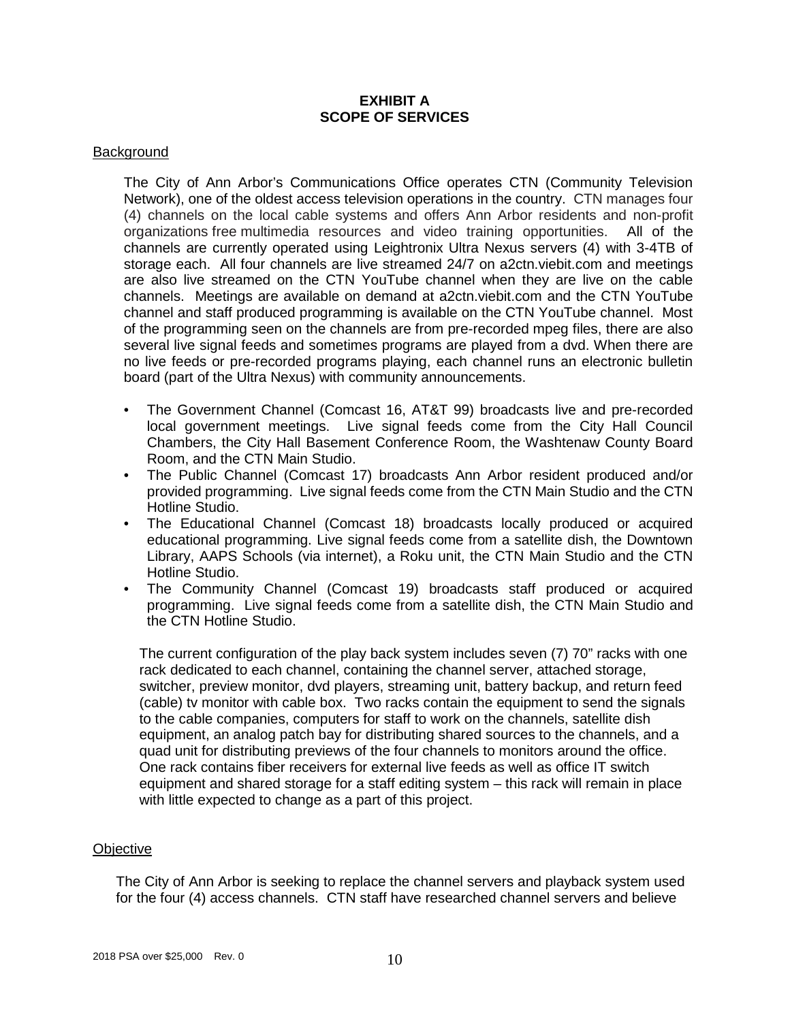#### **EXHIBIT A SCOPE OF SERVICES**

#### **Background**

The City of Ann Arbor's Communications Office operates CTN (Community Television Network), one of the oldest access television operations in the country. CTN manages four (4) channels on the local cable systems and offers Ann Arbor residents and non-profit organizations free multimedia resources and video training opportunities. All of the channels are currently operated using Leightronix Ultra Nexus servers (4) with 3-4TB of storage each. All four channels are live streamed 24/7 on a2ctn.viebit.com and meetings are also live streamed on the CTN YouTube channel when they are live on the cable channels. Meetings are available on demand at a2ctn.viebit.com and the CTN YouTube channel and staff produced programming is available on the CTN YouTube channel. Most of the programming seen on the channels are from pre-recorded mpeg files, there are also several live signal feeds and sometimes programs are played from a dvd. When there are no live feeds or pre-recorded programs playing, each channel runs an electronic bulletin board (part of the Ultra Nexus) with community announcements.

- The Government Channel (Comcast 16, AT&T 99) broadcasts live and pre-recorded local government meetings. Live signal feeds come from the City Hall Council Chambers, the City Hall Basement Conference Room, the Washtenaw County Board Room, and the CTN Main Studio.
- The Public Channel (Comcast 17) broadcasts Ann Arbor resident produced and/or provided programming. Live signal feeds come from the CTN Main Studio and the CTN Hotline Studio.
- The Educational Channel (Comcast 18) broadcasts locally produced or acquired educational programming. Live signal feeds come from a satellite dish, the Downtown Library, AAPS Schools (via internet), a Roku unit, the CTN Main Studio and the CTN Hotline Studio.
- The Community Channel (Comcast 19) broadcasts staff produced or acquired programming. Live signal feeds come from a satellite dish, the CTN Main Studio and the CTN Hotline Studio.

The current configuration of the play back system includes seven (7) 70" racks with one rack dedicated to each channel, containing the channel server, attached storage, switcher, preview monitor, dvd players, streaming unit, battery backup, and return feed (cable) tv monitor with cable box. Two racks contain the equipment to send the signals to the cable companies, computers for staff to work on the channels, satellite dish equipment, an analog patch bay for distributing shared sources to the channels, and a quad unit for distributing previews of the four channels to monitors around the office. One rack contains fiber receivers for external live feeds as well as office IT switch equipment and shared storage for a staff editing system – this rack will remain in place with little expected to change as a part of this project.

#### **Objective**

The City of Ann Arbor is seeking to replace the channel servers and playback system used for the four (4) access channels. CTN staff have researched channel servers and believe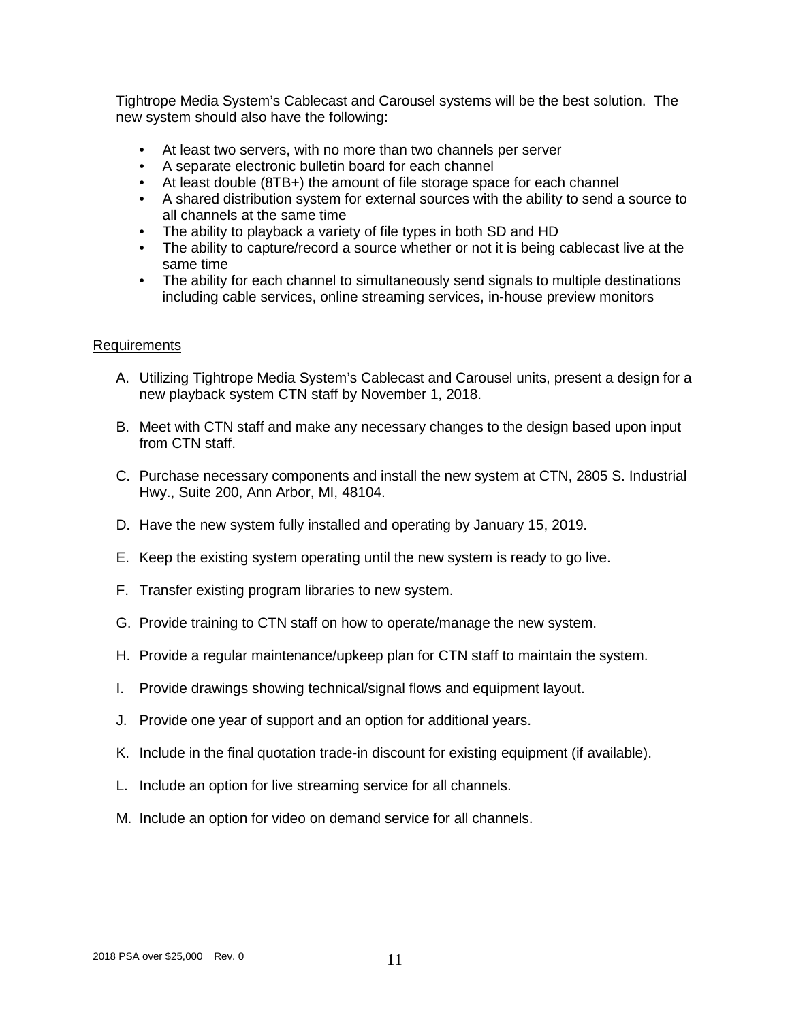Tightrope Media System's Cablecast and Carousel systems will be the best solution. The new system should also have the following:

- At least two servers, with no more than two channels per server
- A separate electronic bulletin board for each channel
- At least double (8TB+) the amount of file storage space for each channel
- A shared distribution system for external sources with the ability to send a source to all channels at the same time
- The ability to playback a variety of file types in both SD and HD
- The ability to capture/record a source whether or not it is being cablecast live at the same time
- The ability for each channel to simultaneously send signals to multiple destinations including cable services, online streaming services, in-house preview monitors

#### Requirements

- A. Utilizing Tightrope Media System's Cablecast and Carousel units, present a design for a new playback system CTN staff by November 1, 2018.
- B. Meet with CTN staff and make any necessary changes to the design based upon input from CTN staff.
- C. Purchase necessary components and install the new system at CTN, 2805 S. Industrial Hwy., Suite 200, Ann Arbor, MI, 48104.
- D. Have the new system fully installed and operating by January 15, 2019.
- E. Keep the existing system operating until the new system is ready to go live.
- F. Transfer existing program libraries to new system.
- G. Provide training to CTN staff on how to operate/manage the new system.
- H. Provide a regular maintenance/upkeep plan for CTN staff to maintain the system.
- I. Provide drawings showing technical/signal flows and equipment layout.
- J. Provide one year of support and an option for additional years.
- K. Include in the final quotation trade-in discount for existing equipment (if available).
- L. Include an option for live streaming service for all channels.
- M. Include an option for video on demand service for all channels.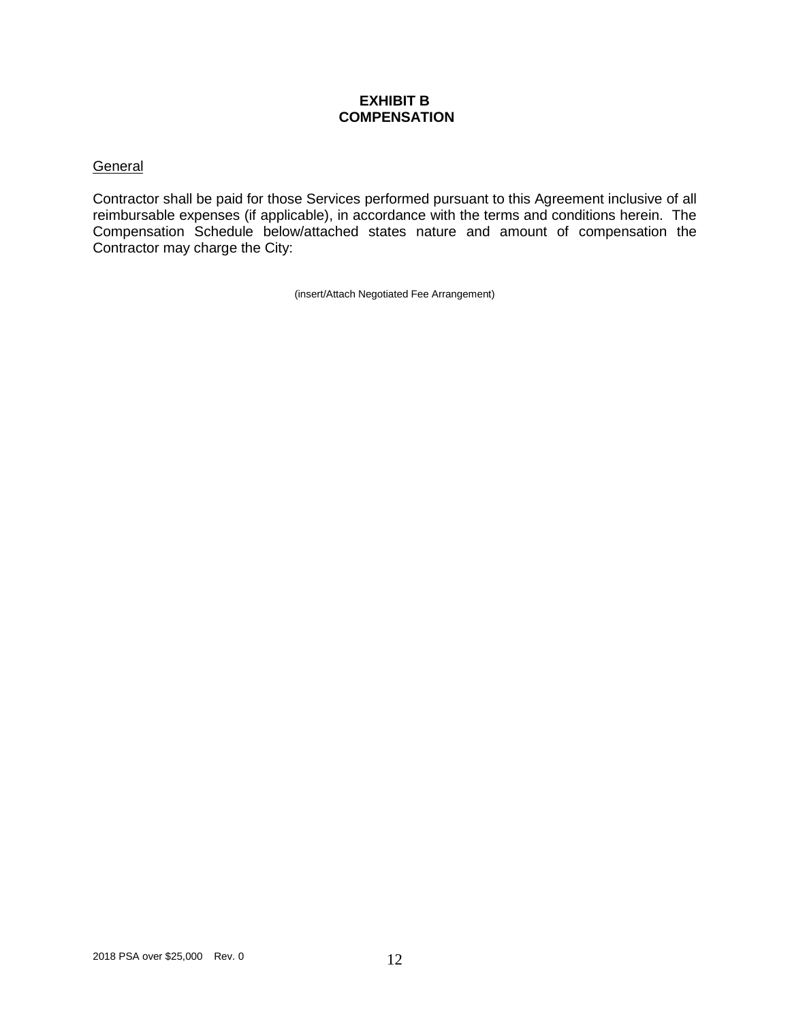#### **EXHIBIT B COMPENSATION**

# **General**

Contractor shall be paid for those Services performed pursuant to this Agreement inclusive of all reimbursable expenses (if applicable), in accordance with the terms and conditions herein. The Compensation Schedule below/attached states nature and amount of compensation the Contractor may charge the City:

(insert/Attach Negotiated Fee Arrangement)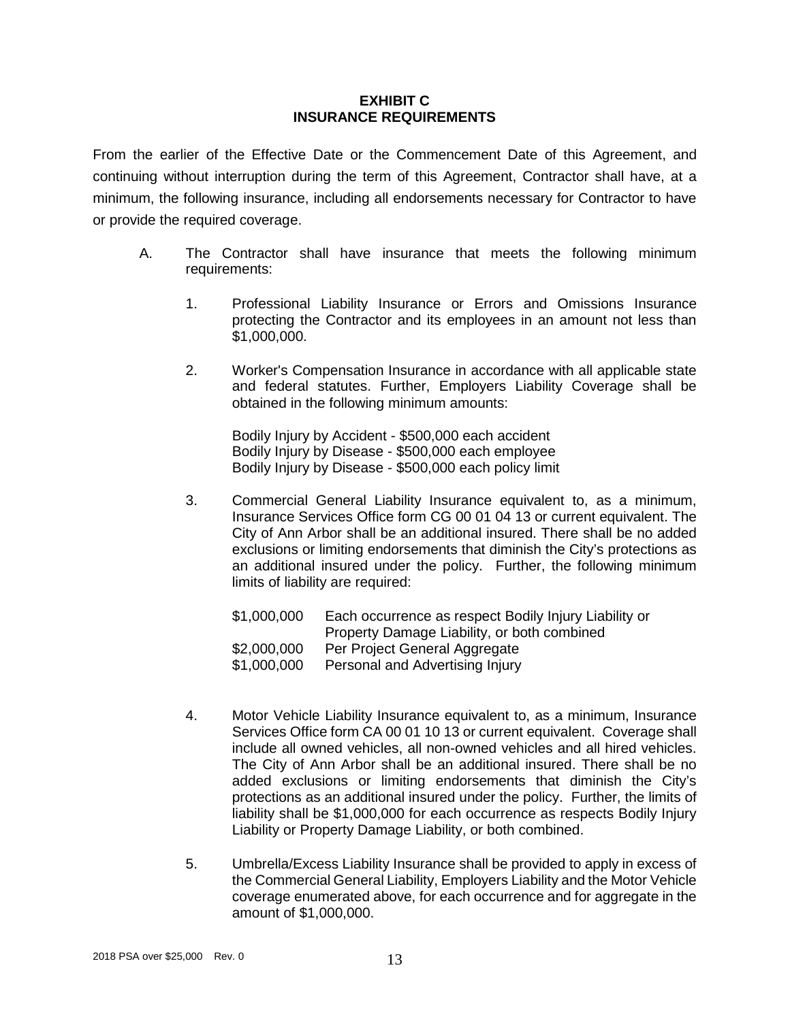#### **EXHIBIT C INSURANCE REQUIREMENTS**

From the earlier of the Effective Date or the Commencement Date of this Agreement, and continuing without interruption during the term of this Agreement, Contractor shall have, at a minimum, the following insurance, including all endorsements necessary for Contractor to have or provide the required coverage.

- A. The Contractor shall have insurance that meets the following minimum requirements:
	- 1. Professional Liability Insurance or Errors and Omissions Insurance protecting the Contractor and its employees in an amount not less than \$1,000,000.
	- 2. Worker's Compensation Insurance in accordance with all applicable state and federal statutes. Further, Employers Liability Coverage shall be obtained in the following minimum amounts:

Bodily Injury by Accident - \$500,000 each accident Bodily Injury by Disease - \$500,000 each employee Bodily Injury by Disease - \$500,000 each policy limit

3. Commercial General Liability Insurance equivalent to, as a minimum, Insurance Services Office form CG 00 01 04 13 or current equivalent. The City of Ann Arbor shall be an additional insured. There shall be no added exclusions or limiting endorsements that diminish the City's protections as an additional insured under the policy. Further, the following minimum limits of liability are required:

| \$1,000,000 | Each occurrence as respect Bodily Injury Liability or |
|-------------|-------------------------------------------------------|
|             | Property Damage Liability, or both combined           |
| \$2,000,000 | Per Project General Aggregate                         |
| \$1,000,000 | Personal and Advertising Injury                       |

- 4. Motor Vehicle Liability Insurance equivalent to, as a minimum, Insurance Services Office form CA 00 01 10 13 or current equivalent. Coverage shall include all owned vehicles, all non-owned vehicles and all hired vehicles. The City of Ann Arbor shall be an additional insured. There shall be no added exclusions or limiting endorsements that diminish the City's protections as an additional insured under the policy. Further, the limits of liability shall be \$1,000,000 for each occurrence as respects Bodily Injury Liability or Property Damage Liability, or both combined.
- 5. Umbrella/Excess Liability Insurance shall be provided to apply in excess of the Commercial General Liability, Employers Liability and the Motor Vehicle coverage enumerated above, for each occurrence and for aggregate in the amount of \$1,000,000.